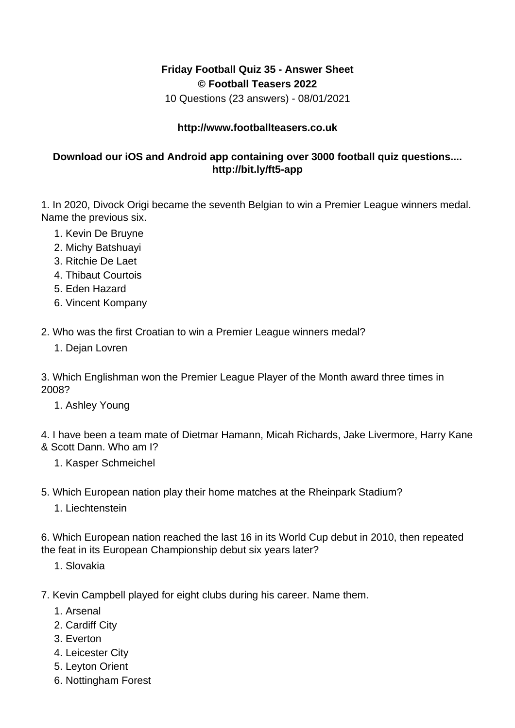## **Friday Football Quiz 35 - Answer Sheet © Football Teasers 2022**

10 Questions (23 answers) - 08/01/2021

## **http://www.footballteasers.co.uk**

## **Download our iOS and Android app containing over 3000 football quiz questions.... http://bit.ly/ft5-app**

1. In 2020, Divock Origi became the seventh Belgian to win a Premier League winners medal. Name the previous six.

- 1. Kevin De Bruyne
- 2. Michy Batshuayi
- 3. Ritchie De Laet
- 4. Thibaut Courtois
- 5. Eden Hazard
- 6. Vincent Kompany

2. Who was the first Croatian to win a Premier League winners medal?

1. Dejan Lovren

3. Which Englishman won the Premier League Player of the Month award three times in 2008?

1. Ashley Young

4. I have been a team mate of Dietmar Hamann, Micah Richards, Jake Livermore, Harry Kane & Scott Dann. Who am I?

- 1. Kasper Schmeichel
- 5. Which European nation play their home matches at the Rheinpark Stadium?
	- 1. Liechtenstein

6. Which European nation reached the last 16 in its World Cup debut in 2010, then repeated the feat in its European Championship debut six years later?

1. Slovakia

7. Kevin Campbell played for eight clubs during his career. Name them.

- 1. Arsenal
- 2. Cardiff City
- 3. Everton
- 4. Leicester City
- 5. Leyton Orient
- 6. Nottingham Forest